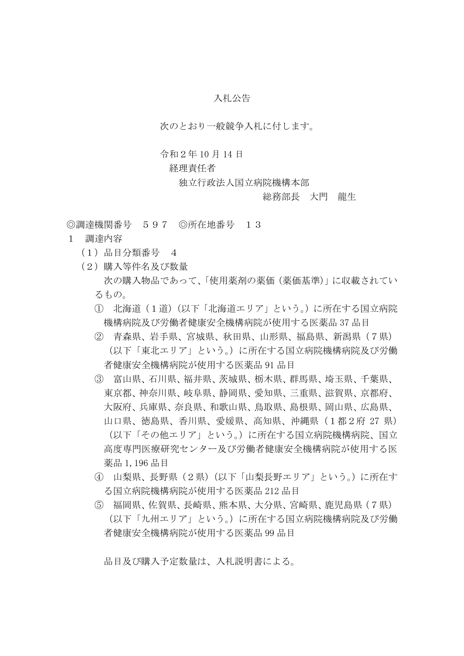## 入札公告

次のとおり一般競争入札に付します。

## 令和2年 10 月 14 日

## 経理責任者

独立行政法人国立病院機構本部

## 総務部長 大門 龍生

◎調達機関番号 597 ◎所在地番号 13

- 1 調達内容
	- (1)品目分類番号 4
	- (2)購入等件名及び数量 次の購入物品であって、「使用薬剤の薬価(薬価基準)」に収載されてい るもの。
		- ① 北海道(1道)(以下「北海道エリア」という。)に所在する国立病院 機構病院及び労働者健康安全機構病院が使用する医薬品 37 品目
		- ② 青森県、岩手県、宮城県、秋田県、山形県、福島県、新潟県(7県) (以下「東北エリア」という。)に所在する国立病院機構病院及び労働 者健康安全機構病院が使用する医薬品 91 品目
		- ③ 富山県、石川県、福井県、茨城県、栃木県、群馬県、埼玉県、千葉県、 東京都、神奈川県、岐阜県、静岡県、愛知県、三重県、滋賀県、京都府、 大阪府、兵庫県、奈良県、和歌山県、鳥取県、島根県、岡山県、広島県、 山口県、徳島県、香川県、愛媛県、高知県、沖縄県(1都2府 27 県) (以下「その他エリア」という。)に所在する国立病院機構病院、国立 高度専門医療研究センター及び労働者健康安全機構病院が使用する医 薬品 1,196 品目
		- ④ 山梨県、長野県(2県)(以下「山梨長野エリア」という。)に所在す る国立病院機構病院が使用する医薬品 212 品目
		- ⑤ 福岡県、佐賀県、長崎県、熊本県、大分県、宮崎県、鹿児島県(7県) (以下「九州エリア」という。)に所在する国立病院機構病院及び労働 者健康安全機構病院が使用する医薬品 99 品目

品目及び購入予定数量は、入札説明書による。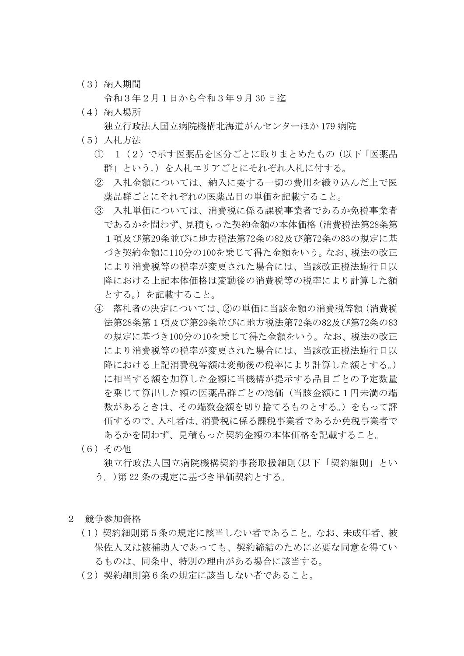(3)納入期間

令和3年2月1日から令和3年9月 30 日迄

(4)納入場所

独立行政法人国立病院機構北海道がんセンターほか 179 病院

- (5)入札方法
	- ① 1(2)で示す医薬品を区分ごとに取りまとめたもの(以下「医薬品 群」という。)を入札エリアごとにそれぞれ入札に付する。
	- ② 入札金額については、納入に要する一切の費用を織り込んだ上で医 薬品群ごとにそれぞれの医薬品目の単価を記載すること。
	- ③ 入札単価については、消費税に係る課税事業者であるか免税事業者 であるかを問わず、見積もった契約金額の本体価格(消費税法第28条第 1項及び第29条並びに地方税法第72条の82及び第72条の83の規定に基 づき契約金額に110分の100を乗じて得た金額をいう。なお、税法の改正 により消費税等の税率が変更された場合には、当該改正税法施行日以 降における上記本体価格は変動後の消費税等の税率により計算した額 とする。)を記載すること。
	- ④ 落札者の決定については、②の単価に当該金額の消費税等額(消費税 法第28条第1項及び第29条並びに地方税法第72条の82及び第72条の83 の規定に基づき100分の10を乗じて得た金額をいう。なお、税法の改正 により消費税等の税率が変更された場合には、当該改正税法施行日以 降における上記消費税等額は変動後の税率により計算した額とする。) に相当する額を加算した金額に当機構が提示する品目ごとの予定数量 を乗じて算出した額の医薬品群ごとの総価(当該金額に1円未満の端 数があるときは、その端数金額を切り捨てるものとする。)をもって評 価するので、入札者は、消費税に係る課税事業者であるか免税事業者で あるかを問わず、見積もった契約金額の本体価格を記載すること。
- (6)その他

独立行政法人国立病院機構契約事務取扱細則(以下「契約細則」とい う。)第 22 条の規定に基づき単価契約とする。

- 2 競争参加資格
	- (1)契約細則第5条の規定に該当しない者であること。なお、未成年者、被 保佐人又は被補助人であっても、契約締結のために必要な同意を得てい るものは、同条中、特別の理由がある場合に該当する。
	- (2)契約細則第6条の規定に該当しない者であること。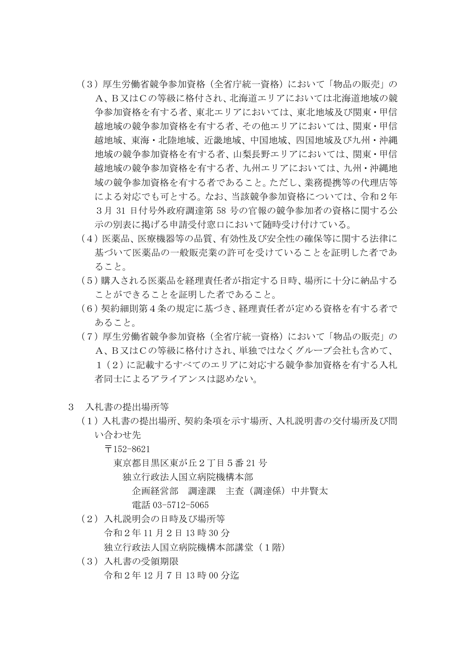- (3)厚生労働省競争参加資格(全省庁統一資格)において「物品の販売」の A、B又はCの等級に格付され、北海道エリアにおいては北海道地域の競 争参加資格を有する者、東北エリアにおいては、東北地域及び関東・甲信 越地域の競争参加資格を有する者、その他エリアにおいては、関東・甲信 越地域、東海・北陸地域、近畿地域、中国地域、四国地域及び九州・沖縄 地域の競争参加資格を有する者、山梨長野エリアにおいては、関東・甲信 越地域の競争参加資格を有する者、九州エリアにおいては、九州・沖縄地 域の競争参加資格を有する者であること。ただし、業務提携等の代理店等 による対応でも可とする。なお、当該競争参加資格については、令和2年 3月 31 日付号外政府調達第 58 号の官報の競争参加者の資格に関する公 示の別表に掲げる申請受付窓口において随時受け付けている。
- (4)医薬品、医療機器等の品質、有効性及び安全性の確保等に関する法律に 基づいて医薬品の一般販売業の許可を受けていることを証明した者であ ること。
- (5)購入される医薬品を経理責任者が指定する日時、場所に十分に納品する ことができることを証明した者であること。
- (6)契約細則第4条の規定に基づき、経理責任者が定める資格を有する者で あること。
- (7)厚生労働省競争参加資格(全省庁統一資格)において「物品の販売」の A、B又はCの等級に格付けされ、単独ではなくグループ会社も含めて、 1(2)に記載するすべてのエリアに対応する競争参加資格を有する入札 者同士によるアライアンスは認めない。
- 3 入札書の提出場所等
	- (1)入札書の提出場所、契約条項を示す場所、入札説明書の交付場所及び問 い合わせ先
		- 〒152-8621

東京都目黒区東が丘2丁目5番 21 号

- 独立行政法人国立病院機構本部
	- 企画経営部 調達課 主査(調達係)中井賢太 電話 03-5712-5065
- (2)入札説明会の日時及び場所等 令和2年 11 月2日 13 時 30 分 独立行政法人国立病院機構本部講堂(1階)
- (3)入札書の受領期限 令和2年 12 月7日 13 時 00 分迄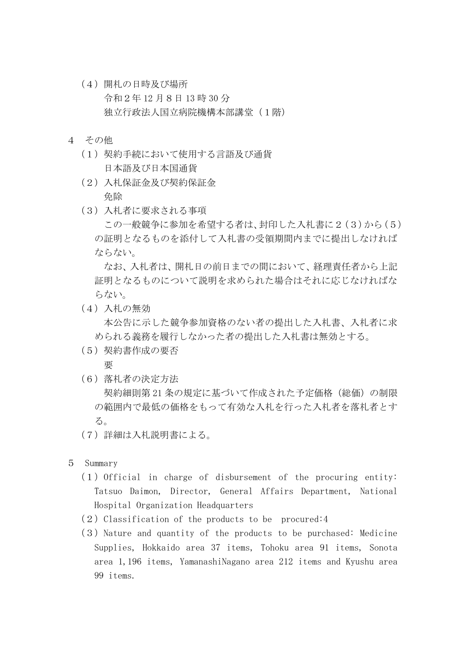- (4)開札の日時及び場所 令和2年 12 月8日 13 時 30 分 独立行政法人国立病院機構本部講堂(1階)
- 4 その他
	- (1)契約手続において使用する言語及び通貨 日本語及び日本国通貨
	- (2)入札保証金及び契約保証金 免除
	- (3)入札者に要求される事項

この一般競争に参加を希望する者は、封印した入札書に2(3)から(5) の証明となるものを添付して入札書の受領期間内までに提出しなければ ならない。

なお、入札者は、開札日の前日までの間において、経理責任者から上記 証明となるものについて説明を求められた場合はそれに応じなければな らない。

(4)入札の無効

本公告に示した競争参加資格のない者の提出した入札書、入札者に求 められる義務を履行しなかった者の提出した入札書は無効とする。

(5)契約書作成の要否

要

(6)落札者の決定方法

契約細則第 21 条の規定に基づいて作成された予定価格(総価)の制限 の範囲内で最低の価格をもって有効な入札を行った入札者を落札者とす る。

- (7)詳細は入札説明書による。
- 5 Summary
	- $(1)$  Official in charge of disbursement of the procuring entity: Tatsuo Daimon, Director, General Affairs Department, National Hospital Organization Headquarters
	- $(2)$  Classification of the products to be procured: 4
	- $(3)$  Nature and quantity of the products to be purchased: Medicine Supplies, Hokkaido area 37 items, Tohoku area 91 items, Sonota area 1,196 items, YamanashiNagano area 212 items and Kyushu area 99 items.